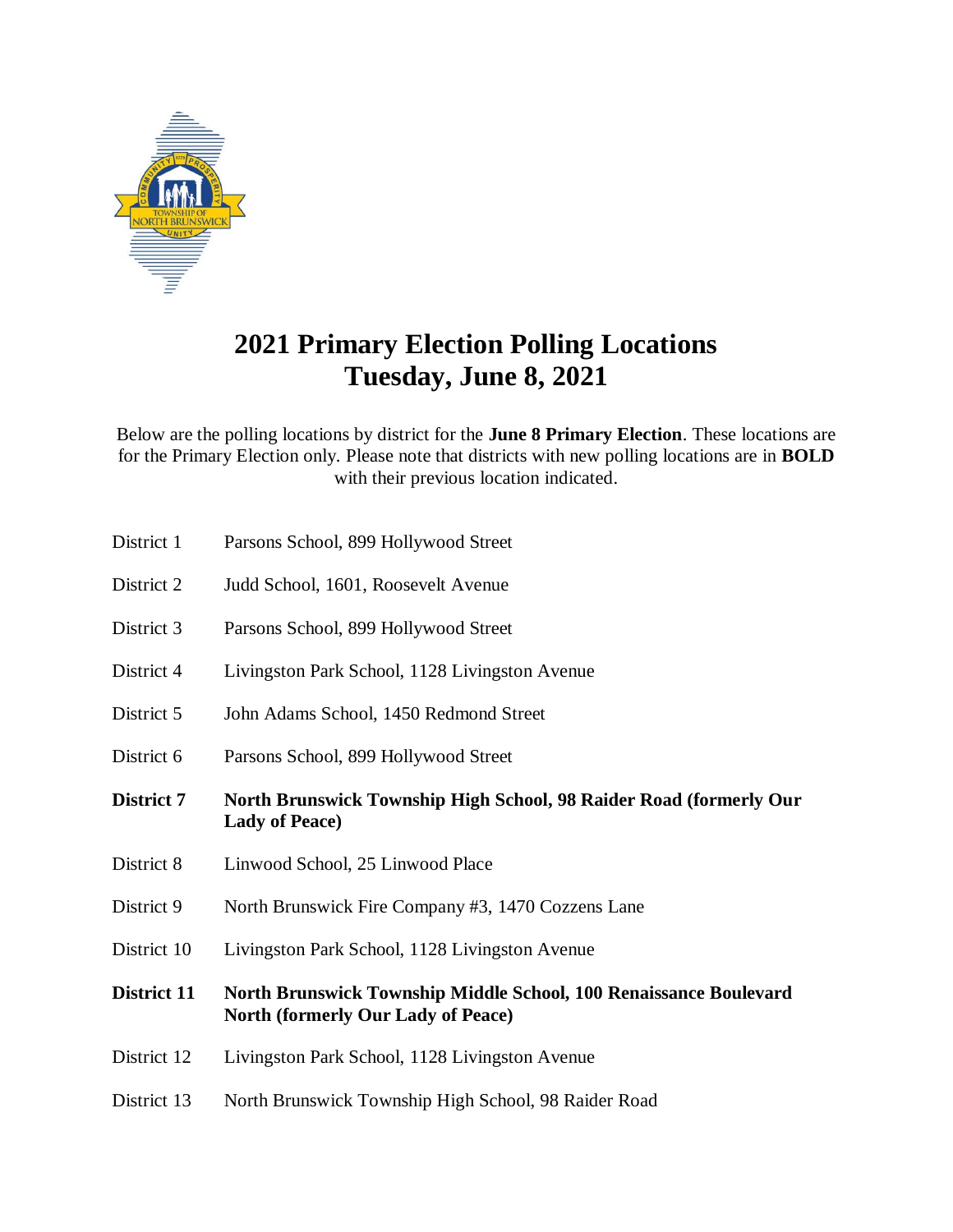

## **2021 Primary Election Polling Locations Tuesday, June 8, 2021**

Below are the polling locations by district for the **June 8 Primary Election**. These locations are for the Primary Election only. Please note that districts with new polling locations are in **BOLD** with their previous location indicated.

- District 1 Parsons School, 899 Hollywood Street
- District 2 Judd School, 1601, Roosevelt Avenue
- District 3 Parsons School, 899 Hollywood Street
- District 4 Livingston Park School, 1128 Livingston Avenue
- District 5 John Adams School, 1450 Redmond Street
- District 6 Parsons School, 899 Hollywood Street
- **District 7 North Brunswick Township High School, 98 Raider Road (formerly Our Lady of Peace)**
- District 8 Linwood School, 25 Linwood Place
- District 9 North Brunswick Fire Company #3, 1470 Cozzens Lane
- District 10 Livingston Park School, 1128 Livingston Avenue
- **District 11 North Brunswick Township Middle School, 100 Renaissance Boulevard North (formerly Our Lady of Peace)**
- District 12 Livingston Park School, 1128 Livingston Avenue
- District 13 North Brunswick Township High School, 98 Raider Road